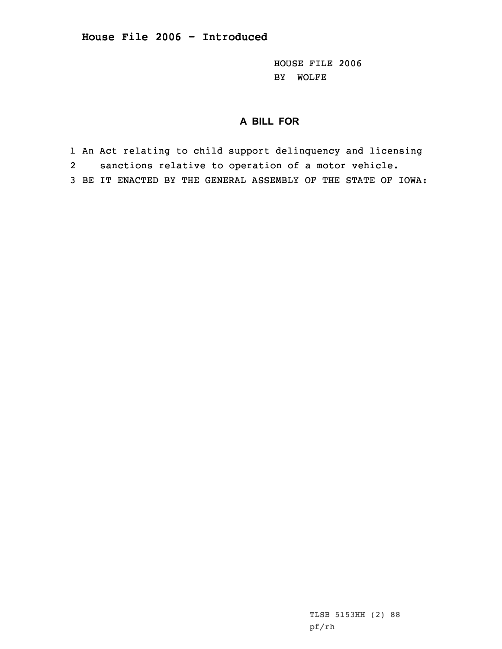HOUSE FILE 2006 BY WOLFE

## **A BILL FOR**

1 An Act relating to child support delinquency and licensing

2sanctions relative to operation of <sup>a</sup> motor vehicle.

3 BE IT ENACTED BY THE GENERAL ASSEMBLY OF THE STATE OF IOWA: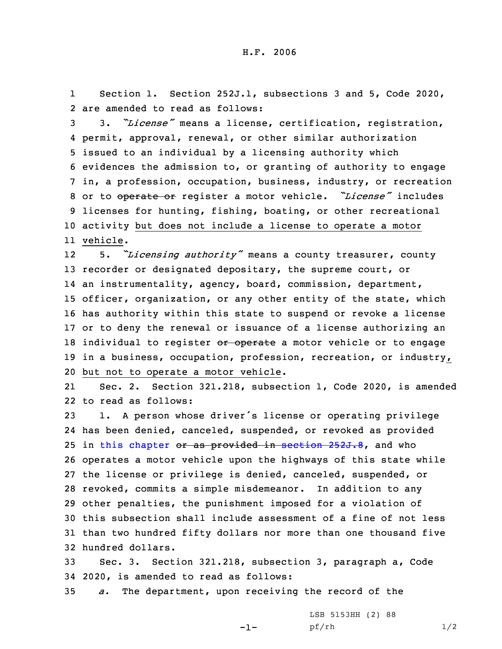1 Section 1. Section 252J.1, subsections 3 and 5, Code 2020, 2 are amended to read as follows:

 3. *"License"* means <sup>a</sup> license, certification, registration, permit, approval, renewal, or other similar authorization issued to an individual by <sup>a</sup> licensing authority which evidences the admission to, or granting of authority to engage in, <sup>a</sup> profession, occupation, business, industry, or recreation or to operate or register <sup>a</sup> motor vehicle. *"License"* includes licenses for hunting, fishing, boating, or other recreational activity but does not include <sup>a</sup> license to operate <sup>a</sup> motor 11 vehicle.

12 5. *"Licensing authority"* means <sup>a</sup> county treasurer, county recorder or designated depositary, the supreme court, or an instrumentality, agency, board, commission, department, officer, organization, or any other entity of the state, which has authority within this state to suspend or revoke <sup>a</sup> license or to deny the renewal or issuance of <sup>a</sup> license authorizing an 18 individual to register or operate a motor vehicle or to engage in <sup>a</sup> business, occupation, profession, recreation, or industry, but not to operate <sup>a</sup> motor vehicle.

21 Sec. 2. Section 321.218, subsection 1, Code 2020, is amended 22 to read as follows:

 1. <sup>A</sup> person whose driver's license or operating privilege has been denied, canceled, suspended, or revoked as provided 25 in this [chapter](https://www.legis.iowa.gov/docs/code/2020/321.pdf) or as provided in section [252J.8](https://www.legis.iowa.gov/docs/code/2020/252J.8.pdf), and who operates <sup>a</sup> motor vehicle upon the highways of this state while the license or privilege is denied, canceled, suspended, or revoked, commits <sup>a</sup> simple misdemeanor. In addition to any other penalties, the punishment imposed for <sup>a</sup> violation of this subsection shall include assessment of <sup>a</sup> fine of not less than two hundred fifty dollars nor more than one thousand five hundred dollars.

33 Sec. 3. Section 321.218, subsection 3, paragraph a, Code 34 2020, is amended to read as follows:

-1-

35 *a.* The department, upon receiving the record of the

LSB 5153HH (2) 88 pf/rh 1/2